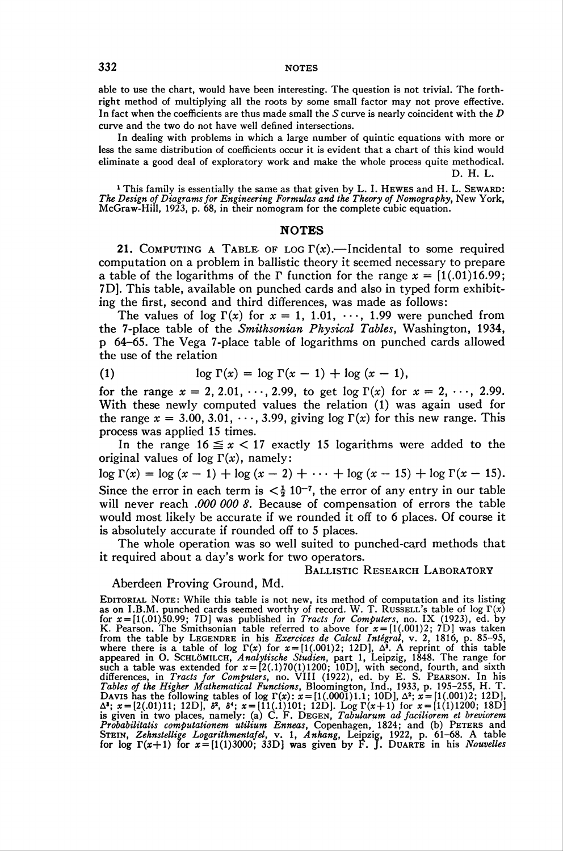able to use the chart, would have been interesting. The question is not trivial. The forthright method of multiplying all the roots by some small factor may not prove effective. In fact when the coefficients are thus made small the  $S$  curve is nearly coincident with the  $D$ curve and the two do not have well defined intersections.

In dealing with problems in which a large number of quintic equations with more or less the same distribution of coefficients occur it is evident that a chart of this kind would eliminate a good deal of exploratory work and make the whole process quite methodical. D. H. L.

<sup>1</sup> This family is essentially the same as that given by L. I. HEWES and H. L. SEWAR The Design of Diagrams for Engineering Formulas and the Theory of Nomography, New York, McGraw-Hill, 1923, p. 68, in their nomogram for the complete cubic equation.

## NOTES

21. COMPUTING A TABLE OF LOG  $\Gamma(x)$ . - Incidental to some required computation on a problem in ballistic theory it seemed necessary to prepare a table of the logarithms of the  $\Gamma$  function for the range  $x = [1(.01)16.99;$ 7D]. This table, available on punched cards and also in typed form exhibiting the first, second and third differences, was made as follows:

The values of log  $\Gamma(x)$  for  $x = 1, 1.01, \dots, 1.99$  were punched from the 7-place table of the Smithsonian Physical Tables, Washington, 1934, p 64-65. The Vega 7-place table of logarithms on punched cards allowed the use of the relation

(1) 
$$
\log \Gamma(x) = \log \Gamma(x-1) + \log (x-1),
$$

for the range  $x = 2, 2.01, \dots, 2.99$ , to get  $\log \Gamma(x)$  for  $x = 2, \dots, 2.99$ . With these newly computed values the relation (1) was again used for the range  $x = 3.00, 3.01, \dots, 3.99$ , giving  $log \Gamma(x)$  for this new range. This process was applied 15 times.

In the range  $16 \le x < 17$  exactly 15 logarithms were added to the original values of  $log \Gamma(x)$ , namely:

 $\log \Gamma(x) = \log (x - 1) + \log (x - 2) + \cdots + \log (x - 15) + \log \Gamma(x - 15).$ Since the error in each term is  $\langle \frac{1}{2} 10^{-7} \rangle$ , the error of any entry in our table will never reach .000 000 8. Because of compensation of errors the table would most likely be accurate if we rounded it off to 6 places. Of course it is absolutely accurate if rounded off to 5 places.

The whole operation was so well suited to punched-card methods that it required about a day's work for two operators.

#### BALLISTIC RESEARCH LABORATORY

### Aberdeen Proving Ground, Md.

EDITORIAL NOTE: While this table is not new, its method of computation and its listing<br>as on I.B.M. punched cards seemed worthy of record. W. T. RUSSELL's table of  $\log \Gamma(x)$ <br>for  $x = [1(.01)50.99; 7D]$  was published in Tract  $\Delta^2$ ;  $x = [2(.01)11; 12D]$ ,  $\delta^2$ ,  $\delta^4$ ;  $x = [11(.1)101; 12D]$ . Log  $\Gamma(x+1)$  for  $x = [1(1)1200; 18D]$  is given in two places, namely: (a) C. F. DEGEN, *Tabularum ad faciliorem et breviorem Probabilitatis computationem uti*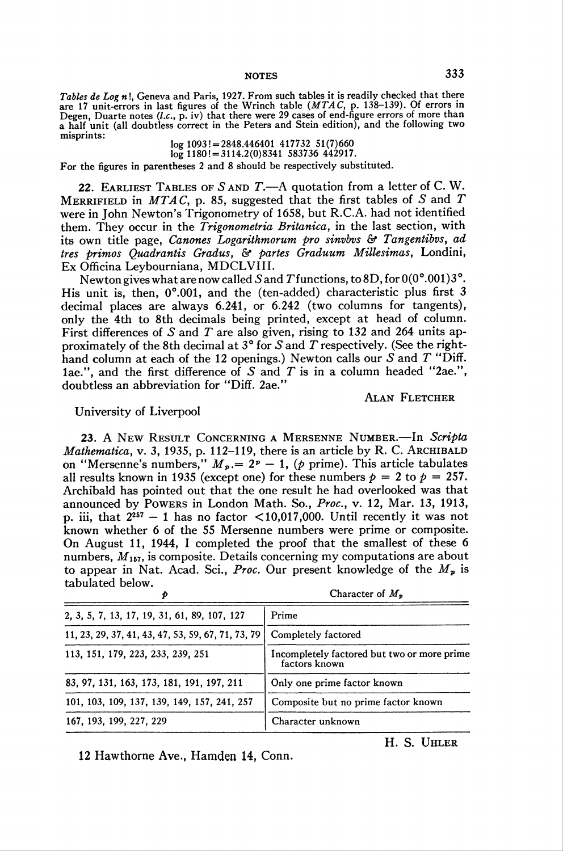notes 333

Tables de Log  $n!$ , Geneva and Paris, 1927. From such tables it is readily checked that there are 17 unit-errors in last figures of the Wrinch table (*MTAC*, p. 138–139). Of errors in Degen, Duarte notes  $(l.c., p. iv)$  that there were 29 cases of end-figure errors of more than a half unit (all doubtless correct in the Peters and Stein edition), and the following two misprints:

 $log 1093! = 2848.446401 417732 51(7)660$  $log 1180! = 3114.2(0)8341583736442917.$ 

For the figures in parentheses 2 and 8 should be respectively substituted.

22. EARLIEST TABLES OF  $S$  AND  $T$ —A quotation from a letter of C.W. MERRIFIELD in MTAC, p. 85, suggested that the first tables of S and T were in John Newton's Trigonometry of 1658, but R.C.A. had not identified them. They occur in the Trigonometria Britanica, in the last section, with its own title page, Canones Logarithmorum pro sinvbvs & Tangentibvs, ad tres primos Quadrantis Gradus, & partes Graduum Millesimas, Londini, Ex Officina Leybourniana, MDCLVIII.

Newton gives what are now called S and T functions, to 8D, for  $0(0^{\circ}.001)3^{\circ}$ . His unit is, then, 0°.001, and the (ten-added) characteristic plus first 3 decimal places are always 6.241, or 6.242 (two columns for tangents), only the 4th to 8th decimals being printed, except at head of column. First differences of S and T are also given, rising to 132 and 264 units approximately of the 8th decimal at  $3^{\circ}$  for S and T respectively. (See the righthand column at each of the 12 openings.) Newton calls our  $S$  and  $T$  "Diff. 1ae.", and the first difference of S and T is in a column headed "2ae.", doubtless an abbreviation for "Diff. 2ae."

ALAN FLETCHER

University of Liverpool

23. A New Result CONCERNING A MERSENNE NUMBER. -- In Scripta Mathematica, v. 3, 1935, p. 112–119, there is an article by R. C. ARCHIBALD on "Mersenne's numbers,"  $M_p = 2^p - 1$ , (p prime). This article tabulates all results known in 1935 (except one) for these numbers  $p = 2$  to  $p = 257$ . Archibald has pointed out that the one result he had overlooked was that announced by Powers in London Math. So., Proc, v. 12, Mar. 13, 1913, p. iii, that  $2^{257} - 1$  has no factor < 10,017,000. Until recently it was not known whether 6 of the 55 Mersenne numbers were prime or composite. On August 11, 1944, I completed the proof that the smallest of these 6 numbers,  $M_{157}$ , is composite. Details concerning my computations are about to appear in Nat. Acad. Sci., Proc. Our present knowledge of the  $M_p$  is tabulated below.

|                                                    | Character of $M_p$                                           |  |  |  |  |
|----------------------------------------------------|--------------------------------------------------------------|--|--|--|--|
| 2, 3, 5, 7, 13, 17, 19, 31, 61, 89, 107, 127       | Prime                                                        |  |  |  |  |
| 11, 23, 29, 37, 41, 43, 47, 53, 59, 67, 71, 73, 79 | Completely factored                                          |  |  |  |  |
| 113, 151, 179, 223, 233, 239, 251                  | Incompletely factored but two or more prime<br>factors known |  |  |  |  |
| 83, 97, 131, 163, 173, 181, 191, 197, 211          | Only one prime factor known                                  |  |  |  |  |
| 101, 103, 109, 137, 139, 149, 157, 241, 257        | Composite but no prime factor known                          |  |  |  |  |
| 167, 193, 199, 227, 229                            | Character unknown                                            |  |  |  |  |

12 Hawthorne Ave., Hamden 14, Conn.

H. S. Uhler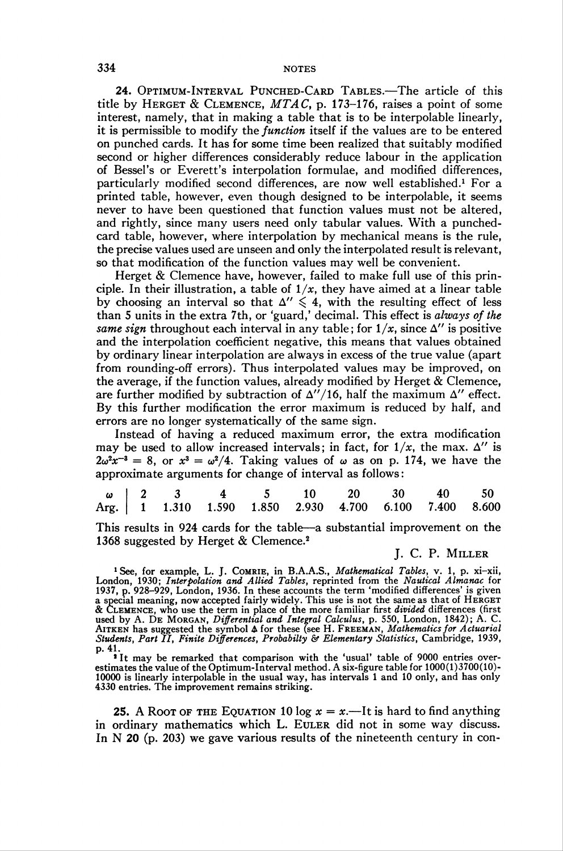24. Optimum-Interval Punched-Card Tables.—The article of this title by HERGET & CLEMENCE,  $MTAC$ , p. 173-176, raises a point of some interest, namely, that in making a table that is to be interpolable linearly, it is permissible to modify the function itself if the values are to be entered on punched cards. It has for some time been realized that suitably modified second or higher differences considerably reduce labour in the application of Bessel's or Everett's interpolation formulae, and modified differences, particularly modified second differences, are now well established.<sup>1</sup> For a printed table, however, even though designed to be interpolable, it seems never to have been questioned that function values must not be altered, and rightly, since many users need only tabular values. With a punchedcard table, however, where interpolation by mechanical means is the rule, the precise values used are unseen and only the interpolated result is relevant, so that modification of the function values may well be convenient.

Herget & Clemence have, however, failed to make full use of this principle. In their illustration, a table of  $1/x$ , they have aimed at a linear table by choosing an interval so that  $\Delta'' \leq 4$ , with the resulting effect of less than 5 units in the extra 7th, or 'guard,' decimal. This effect is always of the same sign throughout each interval in any table; for  $1/x$ , since  $\Delta''$  is positive and the interpolation coefficient negative, this means that values obtained by ordinary linear interpolation are always in excess of the true value (apart from rounding-off errors). Thus interpolated values may be improved, on the average, if the function values, already modified by Herget & Clemence, are further modified by subtraction of  $\Delta''/16$ , half the maximum  $\Delta''$  effect. By this further modification the error maximum is reduced by half, and errors are no longer systematically of the same sign.

Instead of having a reduced maximum error, the extra modification may be used to allow increased intervals; in fact, for  $1/x$ , the max.  $\Delta''$  is  $2\omega^2 x^{-3} = 8$ , or  $x^3 = \omega^2/4$ . Taking values of  $\omega$  as on p. 174, we have the approximate arguments for change of interval as follows:

|  |  |  | $\begin{array}{c ccccccccc}\n\omega & 2 & 3 & 4 & 5 & 10 & 20 & 30 & 40 & 50 \\ \end{array}$<br>Arg. 1 1.310 1.590 1.850 2.930 4.700 6.100 7.400 8.600 |  |  |
|--|--|--|--------------------------------------------------------------------------------------------------------------------------------------------------------|--|--|

This results in 924 cards for the table—a substantial improvement on the 1368 suggested by Herget & Clemence.2

### J. C. P. Miller

<sup>1</sup> See, for example, L. J. COMRIE, in B.A.A.S., Mathematical Tables, v. 1, p. xi-xii, London, 1930; Interpolation and Allied Tables, reprinted from the Nautical Almanac for 1937, p. 928–929, London, 1936. In these accounts the term 'modified differences' is give<br>a special meaning, now accepted fairly widely. This use is not the same as that of HERGE & Clemence, who use the term in place of the more familiar first divided differences (first used by A. DE MORGAN, Differential and Integral Calculus, p. 550, London, 1842); A. C.<br>AITKEN has suggested the symbol  $\Delta$  for these (see H. FREEMAN, Mathematics for Actuaria. Students, Part II, Finite Differences, Probabilty & Elementary Statistics, Cambridge, 1939, p. 41.

<sup>1</sup> It may be remarked that comparison with the 'usual' table of 9000 entries overestimates the value of the Optimum-Interval method. A six-figure table for 1000(1)3700(10)- 10000 is linearly interpolable in the usual way, has intervals 1 and 10 only, and has only 4330 entries. The improvement remains striking.

25. A Root of the Equation 10 log  $x = x$ .—It is hard to find anything in ordinary mathematics which L. Euler did not in some way discuss. In N 20 (p. 203) we gave various results of the nineteenth century in con-